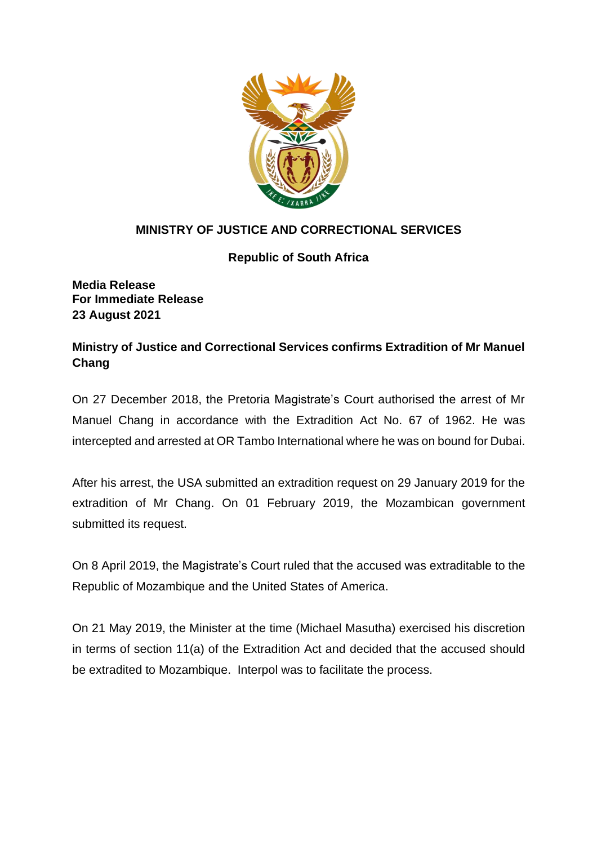

## **MINISTRY OF JUSTICE AND CORRECTIONAL SERVICES**

## **Republic of South Africa**

**Media Release For Immediate Release 23 August 2021**

## **Ministry of Justice and Correctional Services confirms Extradition of Mr Manuel Chang**

On 27 December 2018, the Pretoria Magistrate's Court authorised the arrest of Mr Manuel Chang in accordance with the Extradition Act No. 67 of 1962. He was intercepted and arrested at OR Tambo International where he was on bound for Dubai.

After his arrest, the USA submitted an extradition request on 29 January 2019 for the extradition of Mr Chang. On 01 February 2019, the Mozambican government submitted its request.

On 8 April 2019, the Magistrate's Court ruled that the accused was extraditable to the Republic of Mozambique and the United States of America.

On 21 May 2019, the Minister at the time (Michael Masutha) exercised his discretion in terms of section 11(a) of the Extradition Act and decided that the accused should be extradited to Mozambique. Interpol was to facilitate the process.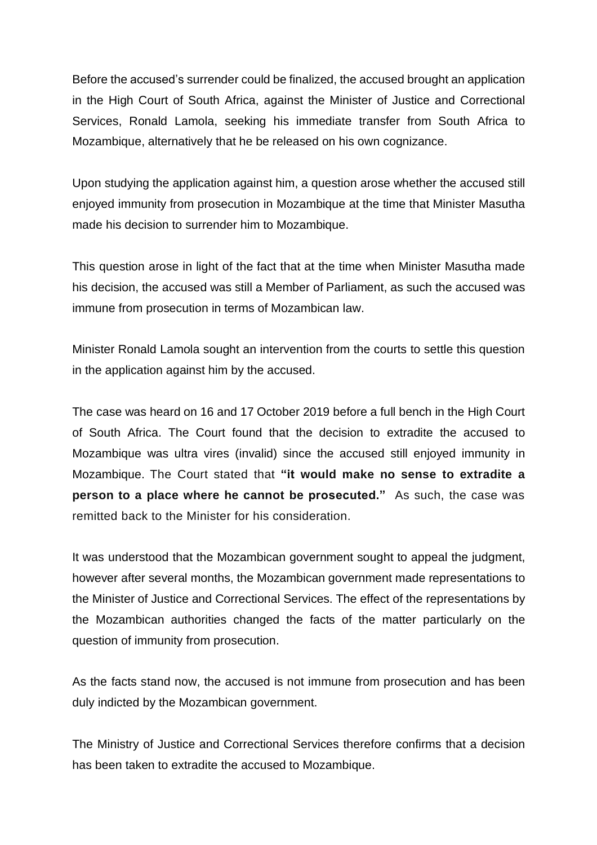Before the accused's surrender could be finalized, the accused brought an application in the High Court of South Africa, against the Minister of Justice and Correctional Services, Ronald Lamola, seeking his immediate transfer from South Africa to Mozambique, alternatively that he be released on his own cognizance.

Upon studying the application against him, a question arose whether the accused still enjoyed immunity from prosecution in Mozambique at the time that Minister Masutha made his decision to surrender him to Mozambique.

This question arose in light of the fact that at the time when Minister Masutha made his decision, the accused was still a Member of Parliament, as such the accused was immune from prosecution in terms of Mozambican law.

Minister Ronald Lamola sought an intervention from the courts to settle this question in the application against him by the accused.

The case was heard on 16 and 17 October 2019 before a full bench in the High Court of South Africa. The Court found that the decision to extradite the accused to Mozambique was ultra vires (invalid) since the accused still enjoyed immunity in Mozambique. The Court stated that **"it would make no sense to extradite a person to a place where he cannot be prosecuted."** As such, the case was remitted back to the Minister for his consideration.

It was understood that the Mozambican government sought to appeal the judgment, however after several months, the Mozambican government made representations to the Minister of Justice and Correctional Services. The effect of the representations by the Mozambican authorities changed the facts of the matter particularly on the question of immunity from prosecution.

As the facts stand now, the accused is not immune from prosecution and has been duly indicted by the Mozambican government.

The Ministry of Justice and Correctional Services therefore confirms that a decision has been taken to extradite the accused to Mozambique.